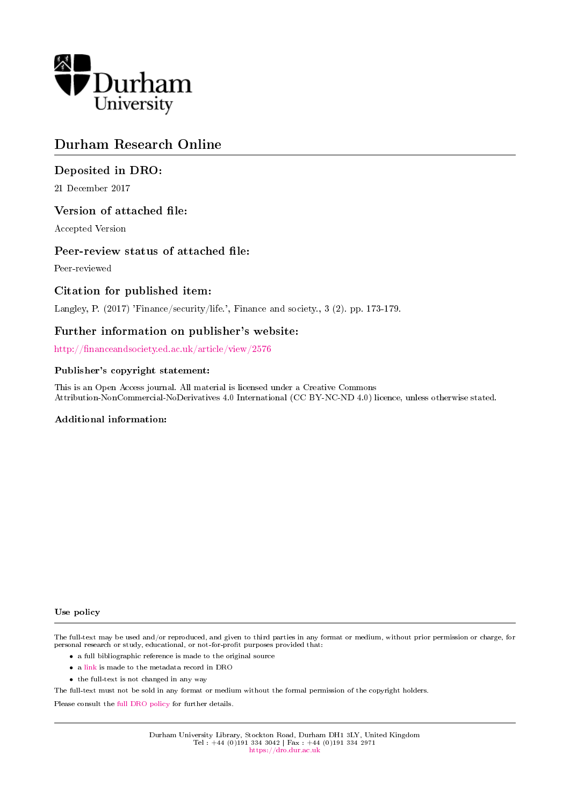

# Durham Research Online

## Deposited in DRO:

21 December 2017

### Version of attached file:

Accepted Version

### Peer-review status of attached file:

Peer-reviewed

### Citation for published item:

Langley, P. (2017) 'Finance/security/life.', Finance and society., 3 (2). pp. 173-179.

### Further information on publisher's website:

http://financeandsociety.ed.ac.uk/article/view/2576

### Publisher's copyright statement:

This is an Open Access journal. All material is licensed under a Creative Commons Attribution-NonCommercial-NoDerivatives 4.0 International (CC BY-NC-ND 4.0) licence, unless otherwise stated.

### Additional information:

#### Use policy

The full-text may be used and/or reproduced, and given to third parties in any format or medium, without prior permission or charge, for personal research or study, educational, or not-for-profit purposes provided that:

- a full bibliographic reference is made to the original source
- a [link](http://dro.dur.ac.uk/23756/) is made to the metadata record in DRO
- the full-text is not changed in any way

The full-text must not be sold in any format or medium without the formal permission of the copyright holders.

Please consult the [full DRO policy](https://dro.dur.ac.uk/policies/usepolicy.pdf) for further details.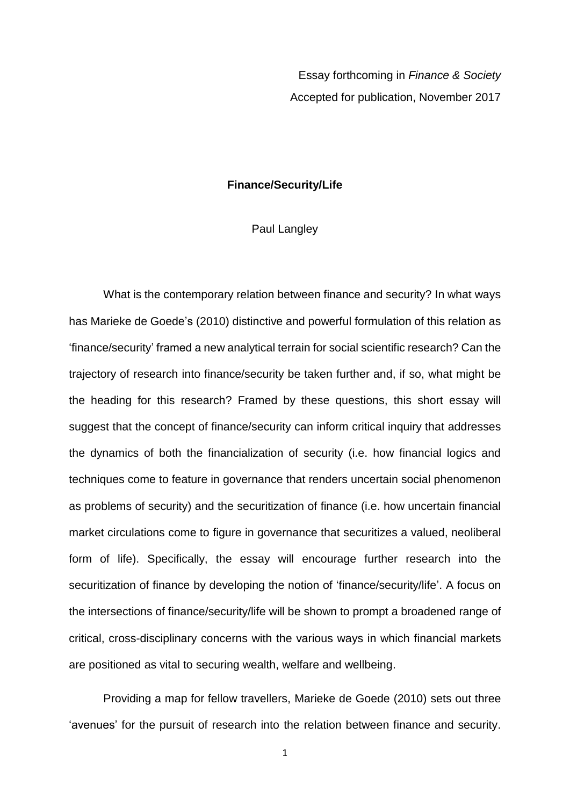Essay forthcoming in *Finance & Society* Accepted for publication, November 2017

### **Finance/Security/Life**

### Paul Langley

What is the contemporary relation between finance and security? In what ways has Marieke de Goede's (2010) distinctive and powerful formulation of this relation as 'finance/security' framed a new analytical terrain for social scientific research? Can the trajectory of research into finance/security be taken further and, if so, what might be the heading for this research? Framed by these questions, this short essay will suggest that the concept of finance/security can inform critical inquiry that addresses the dynamics of both the financialization of security (i.e. how financial logics and techniques come to feature in governance that renders uncertain social phenomenon as problems of security) and the securitization of finance (i.e. how uncertain financial market circulations come to figure in governance that securitizes a valued, neoliberal form of life). Specifically, the essay will encourage further research into the securitization of finance by developing the notion of 'finance/security/life'. A focus on the intersections of finance/security/life will be shown to prompt a broadened range of critical, cross-disciplinary concerns with the various ways in which financial markets are positioned as vital to securing wealth, welfare and wellbeing.

Providing a map for fellow travellers, Marieke de Goede (2010) sets out three 'avenues' for the pursuit of research into the relation between finance and security.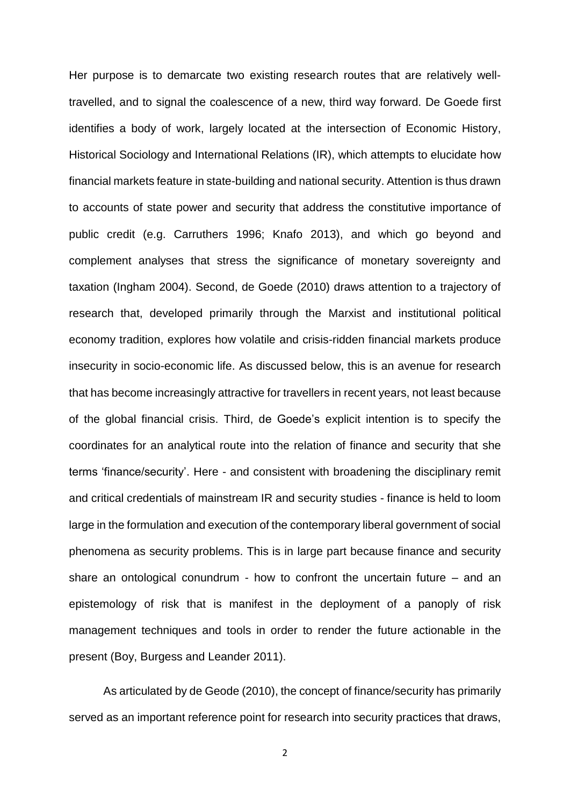Her purpose is to demarcate two existing research routes that are relatively welltravelled, and to signal the coalescence of a new, third way forward. De Goede first identifies a body of work, largely located at the intersection of Economic History, Historical Sociology and International Relations (IR), which attempts to elucidate how financial markets feature in state-building and national security. Attention is thus drawn to accounts of state power and security that address the constitutive importance of public credit (e.g. Carruthers 1996; Knafo 2013), and which go beyond and complement analyses that stress the significance of monetary sovereignty and taxation (Ingham 2004). Second, de Goede (2010) draws attention to a trajectory of research that, developed primarily through the Marxist and institutional political economy tradition, explores how volatile and crisis-ridden financial markets produce insecurity in socio-economic life. As discussed below, this is an avenue for research that has become increasingly attractive for travellers in recent years, not least because of the global financial crisis. Third, de Goede's explicit intention is to specify the coordinates for an analytical route into the relation of finance and security that she terms 'finance/security'. Here - and consistent with broadening the disciplinary remit and critical credentials of mainstream IR and security studies - finance is held to loom large in the formulation and execution of the contemporary liberal government of social phenomena as security problems. This is in large part because finance and security share an ontological conundrum - how to confront the uncertain future – and an epistemology of risk that is manifest in the deployment of a panoply of risk management techniques and tools in order to render the future actionable in the present (Boy, Burgess and Leander 2011).

As articulated by de Geode (2010), the concept of finance/security has primarily served as an important reference point for research into security practices that draws,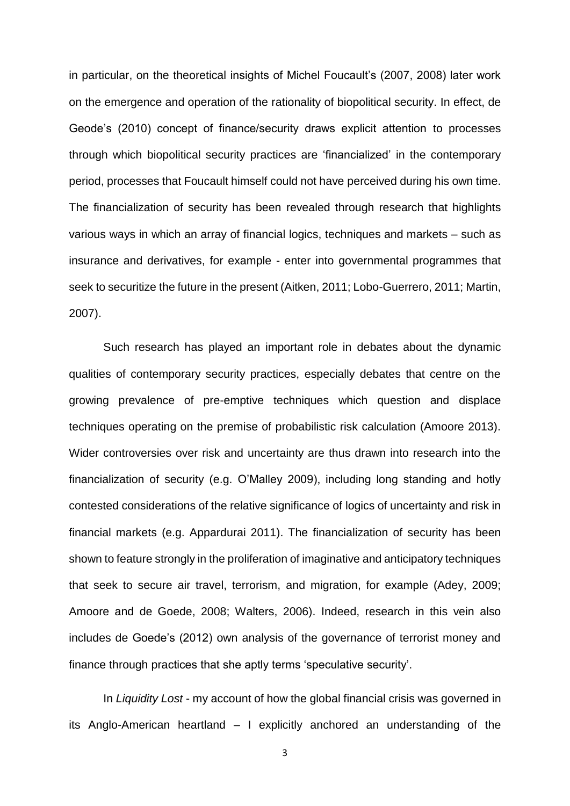in particular, on the theoretical insights of Michel Foucault's (2007, 2008) later work on the emergence and operation of the rationality of biopolitical security. In effect, de Geode's (2010) concept of finance/security draws explicit attention to processes through which biopolitical security practices are 'financialized' in the contemporary period, processes that Foucault himself could not have perceived during his own time. The financialization of security has been revealed through research that highlights various ways in which an array of financial logics, techniques and markets – such as insurance and derivatives, for example - enter into governmental programmes that seek to securitize the future in the present (Aitken, 2011; Lobo-Guerrero, 2011; Martin, 2007).

Such research has played an important role in debates about the dynamic qualities of contemporary security practices, especially debates that centre on the growing prevalence of pre-emptive techniques which question and displace techniques operating on the premise of probabilistic risk calculation (Amoore 2013). Wider controversies over risk and uncertainty are thus drawn into research into the financialization of security (e.g. O'Malley 2009), including long standing and hotly contested considerations of the relative significance of logics of uncertainty and risk in financial markets (e.g. Appardurai 2011). The financialization of security has been shown to feature strongly in the proliferation of imaginative and anticipatory techniques that seek to secure air travel, terrorism, and migration, for example (Adey, 2009; Amoore and de Goede, 2008; Walters, 2006). Indeed, research in this vein also includes de Goede's (2012) own analysis of the governance of terrorist money and finance through practices that she aptly terms 'speculative security'.

In *Liquidity Lost* - my account of how the global financial crisis was governed in its Anglo-American heartland – I explicitly anchored an understanding of the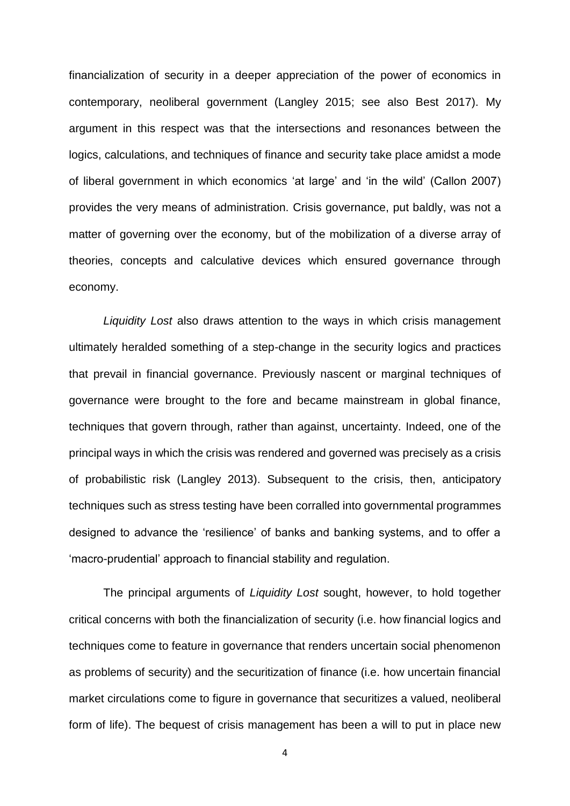financialization of security in a deeper appreciation of the power of economics in contemporary, neoliberal government (Langley 2015; see also Best 2017). My argument in this respect was that the intersections and resonances between the logics, calculations, and techniques of finance and security take place amidst a mode of liberal government in which economics 'at large' and 'in the wild' (Callon 2007) provides the very means of administration. Crisis governance, put baldly, was not a matter of governing over the economy, but of the mobilization of a diverse array of theories, concepts and calculative devices which ensured governance through economy.

*Liquidity Lost* also draws attention to the ways in which crisis management ultimately heralded something of a step-change in the security logics and practices that prevail in financial governance. Previously nascent or marginal techniques of governance were brought to the fore and became mainstream in global finance, techniques that govern through, rather than against, uncertainty. Indeed, one of the principal ways in which the crisis was rendered and governed was precisely as a crisis of probabilistic risk (Langley 2013). Subsequent to the crisis, then, anticipatory techniques such as stress testing have been corralled into governmental programmes designed to advance the 'resilience' of banks and banking systems, and to offer a 'macro-prudential' approach to financial stability and regulation.

The principal arguments of *Liquidity Lost* sought, however, to hold together critical concerns with both the financialization of security (i.e. how financial logics and techniques come to feature in governance that renders uncertain social phenomenon as problems of security) and the securitization of finance (i.e. how uncertain financial market circulations come to figure in governance that securitizes a valued, neoliberal form of life). The bequest of crisis management has been a will to put in place new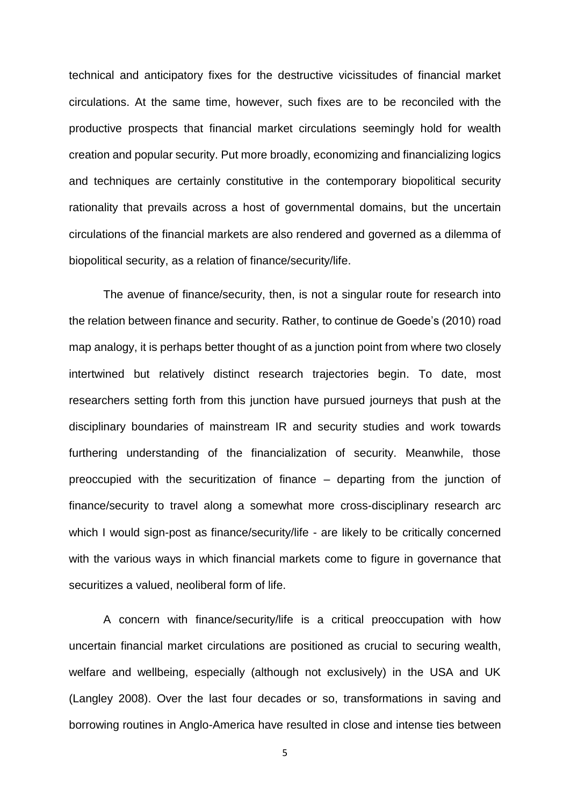technical and anticipatory fixes for the destructive vicissitudes of financial market circulations. At the same time, however, such fixes are to be reconciled with the productive prospects that financial market circulations seemingly hold for wealth creation and popular security. Put more broadly, economizing and financializing logics and techniques are certainly constitutive in the contemporary biopolitical security rationality that prevails across a host of governmental domains, but the uncertain circulations of the financial markets are also rendered and governed as a dilemma of biopolitical security, as a relation of finance/security/life.

The avenue of finance/security, then, is not a singular route for research into the relation between finance and security. Rather, to continue de Goede's (2010) road map analogy, it is perhaps better thought of as a junction point from where two closely intertwined but relatively distinct research trajectories begin. To date, most researchers setting forth from this junction have pursued journeys that push at the disciplinary boundaries of mainstream IR and security studies and work towards furthering understanding of the financialization of security. Meanwhile, those preoccupied with the securitization of finance – departing from the junction of finance/security to travel along a somewhat more cross-disciplinary research arc which I would sign-post as finance/security/life - are likely to be critically concerned with the various ways in which financial markets come to figure in governance that securitizes a valued, neoliberal form of life.

A concern with finance/security/life is a critical preoccupation with how uncertain financial market circulations are positioned as crucial to securing wealth, welfare and wellbeing, especially (although not exclusively) in the USA and UK (Langley 2008). Over the last four decades or so, transformations in saving and borrowing routines in Anglo-America have resulted in close and intense ties between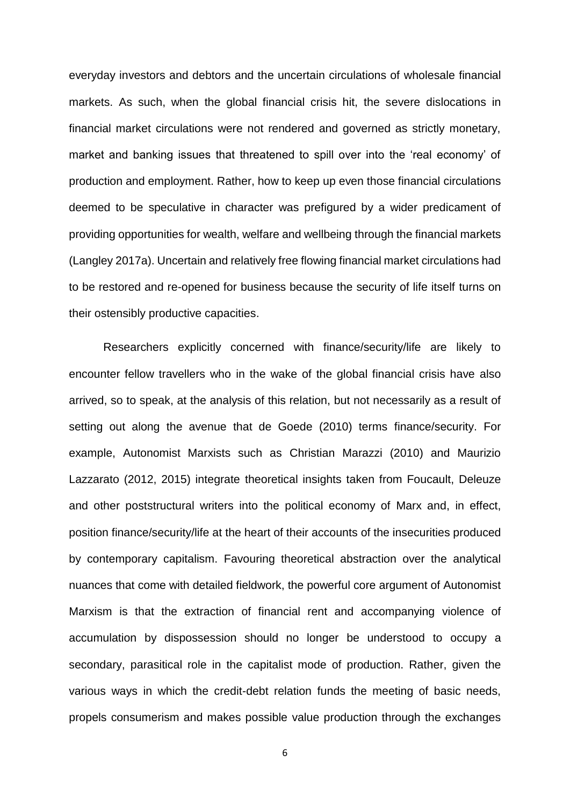everyday investors and debtors and the uncertain circulations of wholesale financial markets. As such, when the global financial crisis hit, the severe dislocations in financial market circulations were not rendered and governed as strictly monetary, market and banking issues that threatened to spill over into the 'real economy' of production and employment. Rather, how to keep up even those financial circulations deemed to be speculative in character was prefigured by a wider predicament of providing opportunities for wealth, welfare and wellbeing through the financial markets (Langley 2017a). Uncertain and relatively free flowing financial market circulations had to be restored and re-opened for business because the security of life itself turns on their ostensibly productive capacities.

Researchers explicitly concerned with finance/security/life are likely to encounter fellow travellers who in the wake of the global financial crisis have also arrived, so to speak, at the analysis of this relation, but not necessarily as a result of setting out along the avenue that de Goede (2010) terms finance/security. For example, Autonomist Marxists such as Christian Marazzi (2010) and Maurizio Lazzarato (2012, 2015) integrate theoretical insights taken from Foucault, Deleuze and other poststructural writers into the political economy of Marx and, in effect, position finance/security/life at the heart of their accounts of the insecurities produced by contemporary capitalism. Favouring theoretical abstraction over the analytical nuances that come with detailed fieldwork, the powerful core argument of Autonomist Marxism is that the extraction of financial rent and accompanying violence of accumulation by dispossession should no longer be understood to occupy a secondary, parasitical role in the capitalist mode of production. Rather, given the various ways in which the credit-debt relation funds the meeting of basic needs, propels consumerism and makes possible value production through the exchanges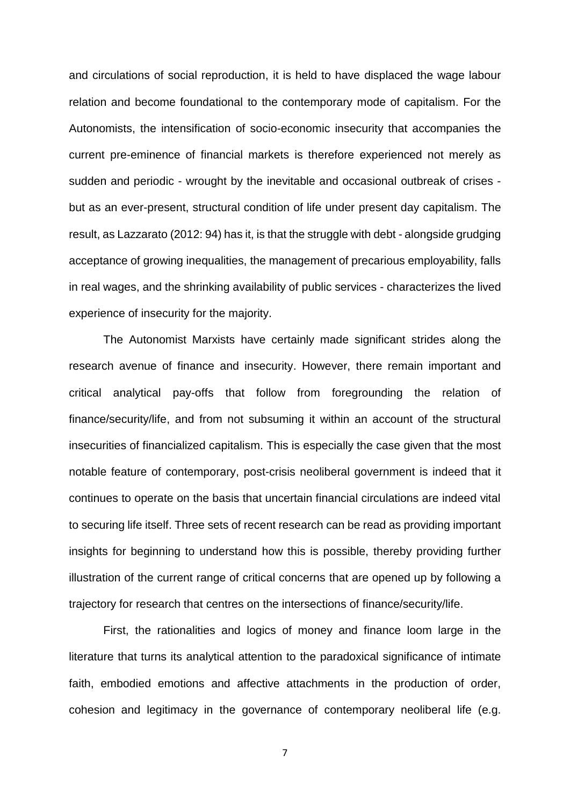and circulations of social reproduction, it is held to have displaced the wage labour relation and become foundational to the contemporary mode of capitalism. For the Autonomists, the intensification of socio-economic insecurity that accompanies the current pre-eminence of financial markets is therefore experienced not merely as sudden and periodic - wrought by the inevitable and occasional outbreak of crises but as an ever-present, structural condition of life under present day capitalism. The result, as Lazzarato (2012: 94) has it, is that the struggle with debt - alongside grudging acceptance of growing inequalities, the management of precarious employability, falls in real wages, and the shrinking availability of public services - characterizes the lived experience of insecurity for the majority.

The Autonomist Marxists have certainly made significant strides along the research avenue of finance and insecurity. However, there remain important and critical analytical pay-offs that follow from foregrounding the relation of finance/security/life, and from not subsuming it within an account of the structural insecurities of financialized capitalism. This is especially the case given that the most notable feature of contemporary, post-crisis neoliberal government is indeed that it continues to operate on the basis that uncertain financial circulations are indeed vital to securing life itself. Three sets of recent research can be read as providing important insights for beginning to understand how this is possible, thereby providing further illustration of the current range of critical concerns that are opened up by following a trajectory for research that centres on the intersections of finance/security/life.

First, the rationalities and logics of money and finance loom large in the literature that turns its analytical attention to the paradoxical significance of intimate faith, embodied emotions and affective attachments in the production of order, cohesion and legitimacy in the governance of contemporary neoliberal life (e.g.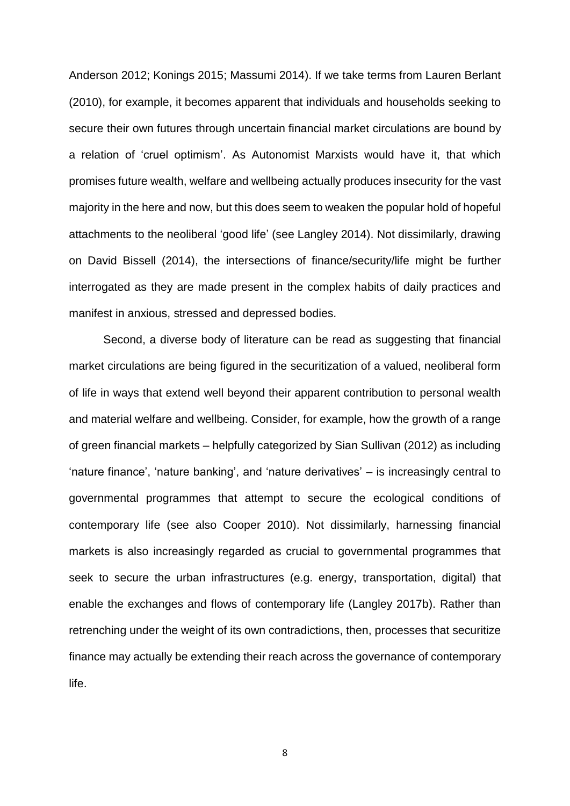Anderson 2012; Konings 2015; Massumi 2014). If we take terms from Lauren Berlant (2010), for example, it becomes apparent that individuals and households seeking to secure their own futures through uncertain financial market circulations are bound by a relation of 'cruel optimism'. As Autonomist Marxists would have it, that which promises future wealth, welfare and wellbeing actually produces insecurity for the vast majority in the here and now, but this does seem to weaken the popular hold of hopeful attachments to the neoliberal 'good life' (see Langley 2014). Not dissimilarly, drawing on David Bissell (2014), the intersections of finance/security/life might be further interrogated as they are made present in the complex habits of daily practices and manifest in anxious, stressed and depressed bodies.

Second, a diverse body of literature can be read as suggesting that financial market circulations are being figured in the securitization of a valued, neoliberal form of life in ways that extend well beyond their apparent contribution to personal wealth and material welfare and wellbeing. Consider, for example, how the growth of a range of green financial markets – helpfully categorized by Sian Sullivan (2012) as including 'nature finance', 'nature banking', and 'nature derivatives' – is increasingly central to governmental programmes that attempt to secure the ecological conditions of contemporary life (see also Cooper 2010). Not dissimilarly, harnessing financial markets is also increasingly regarded as crucial to governmental programmes that seek to secure the urban infrastructures (e.g. energy, transportation, digital) that enable the exchanges and flows of contemporary life (Langley 2017b). Rather than retrenching under the weight of its own contradictions, then, processes that securitize finance may actually be extending their reach across the governance of contemporary life.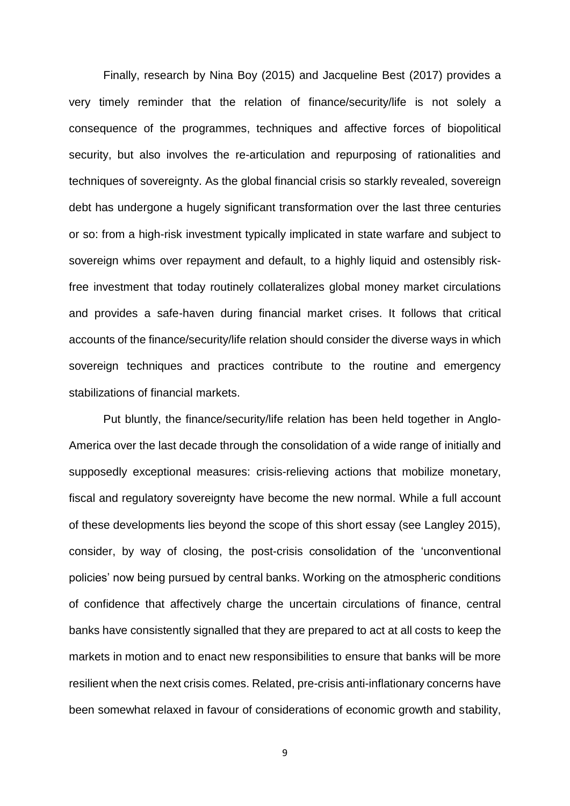Finally, research by Nina Boy (2015) and Jacqueline Best (2017) provides a very timely reminder that the relation of finance/security/life is not solely a consequence of the programmes, techniques and affective forces of biopolitical security, but also involves the re-articulation and repurposing of rationalities and techniques of sovereignty. As the global financial crisis so starkly revealed, sovereign debt has undergone a hugely significant transformation over the last three centuries or so: from a high-risk investment typically implicated in state warfare and subject to sovereign whims over repayment and default, to a highly liquid and ostensibly riskfree investment that today routinely collateralizes global money market circulations and provides a safe-haven during financial market crises. It follows that critical accounts of the finance/security/life relation should consider the diverse ways in which sovereign techniques and practices contribute to the routine and emergency stabilizations of financial markets.

Put bluntly, the finance/security/life relation has been held together in Anglo-America over the last decade through the consolidation of a wide range of initially and supposedly exceptional measures: crisis-relieving actions that mobilize monetary, fiscal and regulatory sovereignty have become the new normal. While a full account of these developments lies beyond the scope of this short essay (see Langley 2015), consider, by way of closing, the post-crisis consolidation of the 'unconventional policies' now being pursued by central banks. Working on the atmospheric conditions of confidence that affectively charge the uncertain circulations of finance, central banks have consistently signalled that they are prepared to act at all costs to keep the markets in motion and to enact new responsibilities to ensure that banks will be more resilient when the next crisis comes. Related, pre-crisis anti-inflationary concerns have been somewhat relaxed in favour of considerations of economic growth and stability,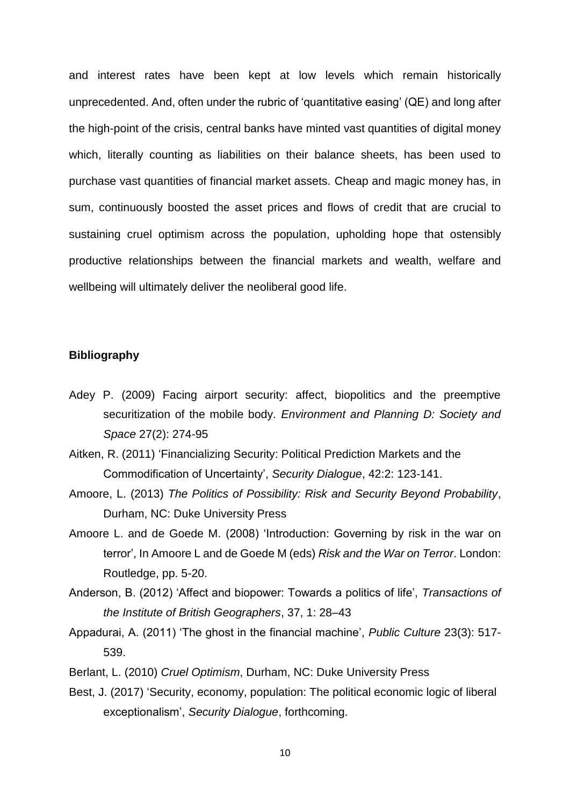and interest rates have been kept at low levels which remain historically unprecedented. And, often under the rubric of 'quantitative easing' (QE) and long after the high-point of the crisis, central banks have minted vast quantities of digital money which, literally counting as liabilities on their balance sheets, has been used to purchase vast quantities of financial market assets. Cheap and magic money has, in sum, continuously boosted the asset prices and flows of credit that are crucial to sustaining cruel optimism across the population, upholding hope that ostensibly productive relationships between the financial markets and wealth, welfare and wellbeing will ultimately deliver the neoliberal good life.

## **Bibliography**

- Adey P. (2009) Facing airport security: affect, biopolitics and the preemptive securitization of the mobile body. *Environment and Planning D: Society and Space* 27(2): 274-95
- Aitken, R. (2011) 'Financializing Security: Political Prediction Markets and the Commodification of Uncertainty', *Security Dialogue*, 42:2: 123-141.
- Amoore, L. (2013) *The Politics of Possibility: Risk and Security Beyond Probability*, Durham, NC: Duke University Press
- Amoore L. and de Goede M. (2008) 'Introduction: Governing by risk in the war on terror', In Amoore L and de Goede M (eds) *Risk and the War on Terror*. London: Routledge, pp. 5-20.
- Anderson, B. (2012) 'Affect and biopower: Towards a politics of life', *Transactions of the Institute of British Geographers*, 37, 1: 28–43
- Appadurai, A. (2011) 'The ghost in the financial machine', *Public Culture* 23(3): 517- 539.
- Berlant, L. (2010) *Cruel Optimism*, Durham, NC: Duke University Press
- Best, J. (2017) 'Security, economy, population: The political economic logic of liberal exceptionalism', *Security Dialogue*, forthcoming.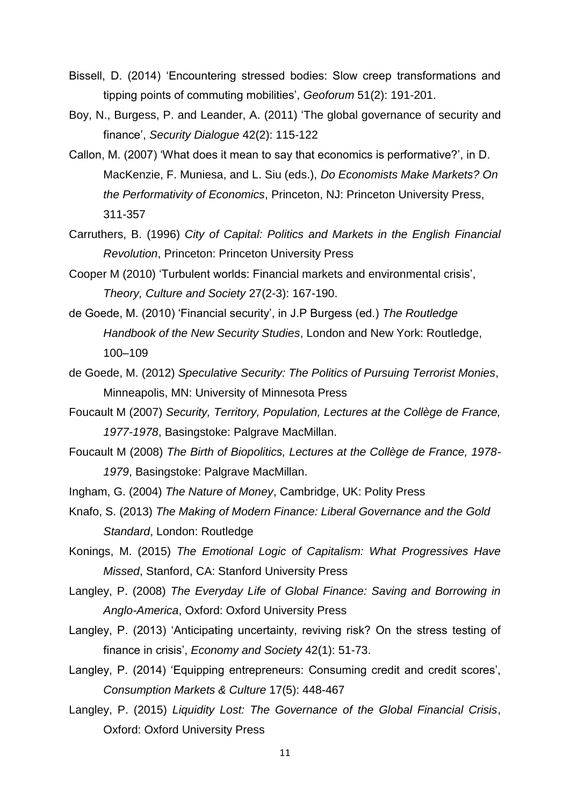- Bissell, D. (2014) 'Encountering stressed bodies: Slow creep transformations and tipping points of commuting mobilities', *Geoforum* 51(2): 191-201.
- Boy, N., Burgess, P. and Leander, A. (2011) 'The global governance of security and finance', *Security Dialogue* 42(2): 115-122
- Callon, M. (2007) 'What does it mean to say that economics is performative?', in D. MacKenzie, F. Muniesa, and L. Siu (eds.), *Do Economists Make Markets? On the Performativity of Economics*, Princeton, NJ: Princeton University Press, 311-357
- Carruthers, B. (1996) *City of Capital: Politics and Markets in the English Financial Revolution*, Princeton: Princeton University Press
- Cooper M (2010) 'Turbulent worlds: Financial markets and environmental crisis', *Theory, Culture and Society* 27(2-3): 167-190.
- de Goede, M. (2010) 'Financial security', in J.P Burgess (ed.) *The Routledge Handbook of the New Security Studies*, London and New York: Routledge, 100–109
- de Goede, M. (2012) *Speculative Security: The Politics of Pursuing Terrorist Monies*, Minneapolis, MN: University of Minnesota Press
- Foucault M (2007) *Security, Territory, Population, Lectures at the Collège de France, 1977-1978*, Basingstoke: Palgrave MacMillan.
- Foucault M (2008) *The Birth of Biopolitics, Lectures at the Collège de France, 1978- 1979*, Basingstoke: Palgrave MacMillan.
- Ingham, G. (2004) *The Nature of Money*, Cambridge, UK: Polity Press
- Knafo, S. (2013) *The Making of Modern Finance: Liberal Governance and the Gold Standard*, London: Routledge
- Konings, M. (2015) *The Emotional Logic of Capitalism: What Progressives Have Missed*, Stanford, CA: Stanford University Press
- Langley, P. (2008) *The Everyday Life of Global Finance: Saving and Borrowing in Anglo-America*, Oxford: Oxford University Press
- Langley, P. (2013) 'Anticipating uncertainty, reviving risk? On the stress testing of finance in crisis', *Economy and Society* 42(1): 51-73.
- Langley, P. (2014) 'Equipping entrepreneurs: Consuming credit and credit scores', *Consumption Markets & Culture* 17(5): 448-467
- Langley, P. (2015) *Liquidity Lost: The Governance of the Global Financial Crisis*, Oxford: Oxford University Press